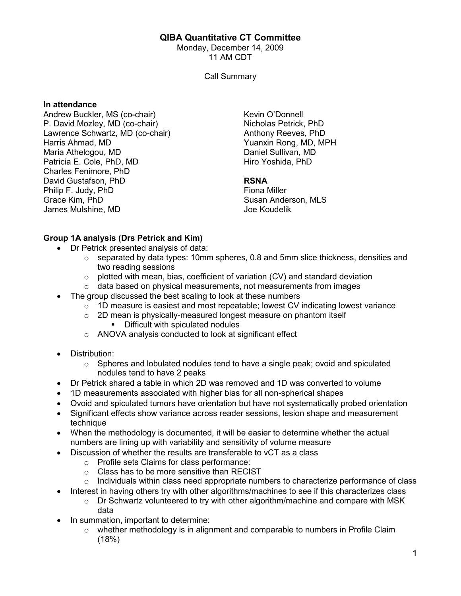## QIBA Quantitative CT Committee

Monday, December 14, 2009 11 AM CDT

Call Summary

#### In attendance

Andrew Buckler, MS (co-chair) P. David Mozley, MD (co-chair) Lawrence Schwartz, MD (co-chair) Harris Ahmad, MD Maria Athelogou, MD Patricia E. Cole, PhD, MD Charles Fenimore, PhD David Gustafson, PhD Philip F. Judy, PhD Grace Kim, PhD James Mulshine, MD

Kevin O'Donnell Nicholas Petrick, PhD Anthony Reeves, PhD Yuanxin Rong, MD, MPH Daniel Sullivan, MD Hiro Yoshida, PhD

### RSNA

Fiona Miller Susan Anderson, MLS Joe Koudelik

## Group 1A analysis (Drs Petrick and Kim)

- Dr Petrick presented analysis of data:
	- $\circ$  separated by data types: 10mm spheres, 0.8 and 5mm slice thickness, densities and two reading sessions
	- $\circ$  plotted with mean, bias, coefficient of variation (CV) and standard deviation
	- $\circ$  data based on physical measurements, not measurements from images
- The group discussed the best scaling to look at these numbers
	- $\circ$  1D measure is easiest and most repeatable; lowest CV indicating lowest variance
	- $\circ$  2D mean is physically-measured longest measure on phantom itself
		- **•** Difficult with spiculated nodules
	- $\circ$  ANOVA analysis conducted to look at significant effect
- Distribution:
	- $\circ$  Spheres and lobulated nodules tend to have a single peak; ovoid and spiculated nodules tend to have 2 peaks
- Dr Petrick shared a table in which 2D was removed and 1D was converted to volume
- 1D measurements associated with higher bias for all non-spherical shapes
- Ovoid and spiculated tumors have orientation but have not systematically probed orientation
- Significant effects show variance across reader sessions, lesion shape and measurement technique
- When the methodology is documented, it will be easier to determine whether the actual numbers are lining up with variability and sensitivity of volume measure
- Discussion of whether the results are transferable to vCT as a class
	- o Profile sets Claims for class performance:
	- o Class has to be more sensitive than RECIST
	- $\circ$  Individuals within class need appropriate numbers to characterize performance of class
- Interest in having others try with other algorithms/machines to see if this characterizes class
	- o Dr Schwartz volunteered to try with other algorithm/machine and compare with MSK data
- In summation, important to determine:
	- $\circ$  whether methodology is in alignment and comparable to numbers in Profile Claim (18%)